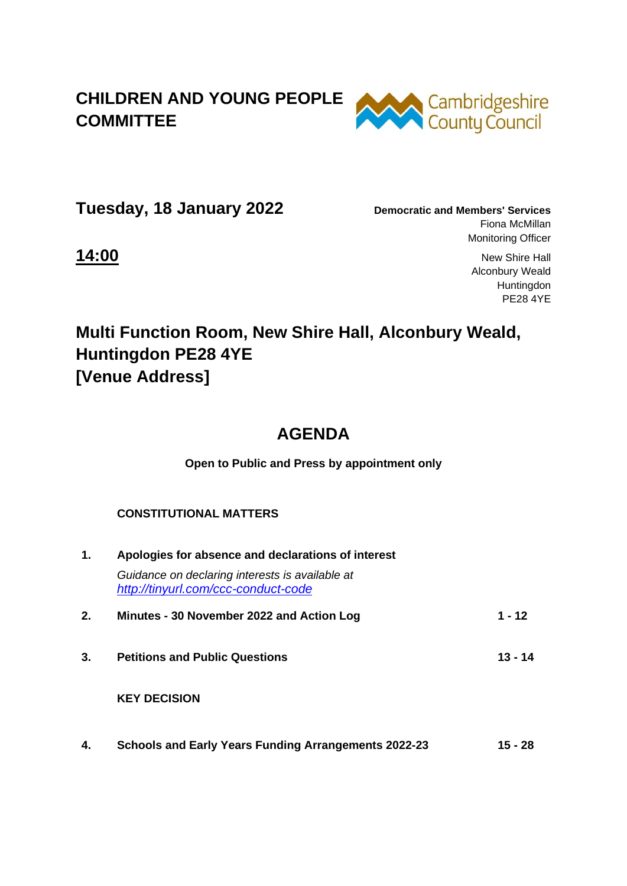## **CHILDREN AND YOUNG PEOPLE COMMITTEE**



**Tuesday, 18 January 2022 Democratic and Members' Services** 

Fiona McMillan Monitoring Officer

**14:00** New Shire Hall Alconbury Weald Huntingdon PE28 4YE

# **Multi Function Room, New Shire Hall, Alconbury Weald, Huntingdon PE28 4YE [Venue Address]**

## **AGENDA**

**Open to Public and Press by appointment only**

#### **CONSTITUTIONAL MATTERS**

| $\mathbf 1$ . | Apologies for absence and declarations of interest                                     |           |  |
|---------------|----------------------------------------------------------------------------------------|-----------|--|
|               | Guidance on declaring interests is available at<br>http://tinyurl.com/ccc-conduct-code |           |  |
| 2.            | Minutes - 30 November 2022 and Action Log                                              | $1 - 12$  |  |
| 3.            | <b>Petitions and Public Questions</b>                                                  | $13 - 14$ |  |
|               | <b>KEY DECISION</b>                                                                    |           |  |
| 4.            | <b>Schools and Early Years Funding Arrangements 2022-23</b>                            | 15 - 28   |  |